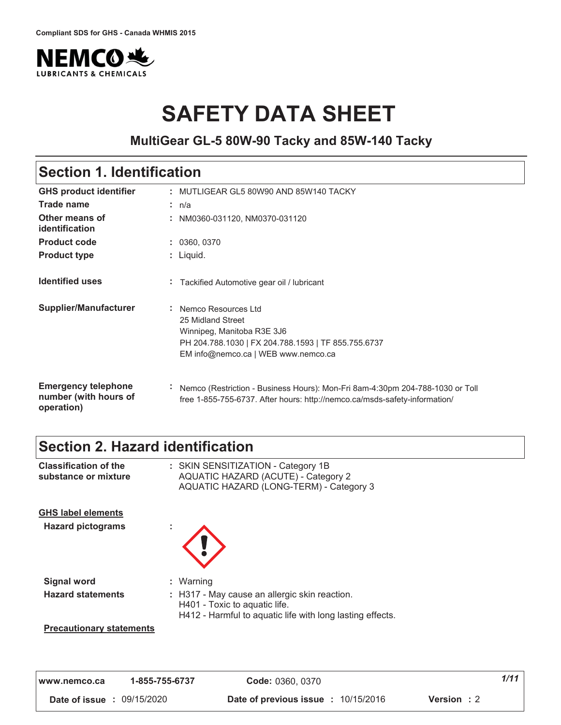

# **SAFETY DATA SHEET**

**MultiGear GL-5 80W-90 Tacky and 85W-140 Tacky**

# **Section 1. Identification**

| <b>GHS product identifier</b>                                     |              | : MUTLIGEAR GL5 80W90 AND 85W140 TACKY                                                                                                                                 |
|-------------------------------------------------------------------|--------------|------------------------------------------------------------------------------------------------------------------------------------------------------------------------|
| <b>Trade name</b>                                                 |              | : n/a                                                                                                                                                                  |
| Other means of<br>identification                                  |              | : NM0360-031120, NM0370-031120                                                                                                                                         |
| <b>Product code</b>                                               |              | : 0360, 0370                                                                                                                                                           |
| <b>Product type</b>                                               |              | : Liquid.                                                                                                                                                              |
| <b>Identified uses</b>                                            | ÷.           | Tackified Automotive gear oil / lubricant                                                                                                                              |
| Supplier/Manufacturer                                             |              | : Nemco Resources Ltd<br>25 Midland Street<br>Winnipeg, Manitoba R3E 3J6<br>PH 204.788.1030   FX 204.788.1593   TF 855.755.6737<br>EM info@nemco.ca   WEB www.nemco.ca |
| <b>Emergency telephone</b><br>number (with hours of<br>operation) | $\mathbf{r}$ | Nemco (Restriction - Business Hours): Mon-Fri 8am-4:30pm 204-788-1030 or Toll<br>free 1-855-755-6737. After hours: http://nemco.ca/msds-safety-information/            |

# **Section 2. Hazard identification**

| <b>Classification of the</b><br>substance or mixture  | : SKIN SENSITIZATION - Category 1B<br><b>AQUATIC HAZARD (ACUTE) - Category 2</b><br>AQUATIC HAZARD (LONG-TERM) - Category 3                 |
|-------------------------------------------------------|---------------------------------------------------------------------------------------------------------------------------------------------|
| <b>GHS label elements</b><br><b>Hazard pictograms</b> |                                                                                                                                             |
| <b>Signal word</b>                                    | : Warning                                                                                                                                   |
| <b>Hazard statements</b>                              | : H317 - May cause an allergic skin reaction.<br>H401 - Toxic to aquatic life.<br>H412 - Harmful to aquatic life with long lasting effects. |
| <b>Precautionary statements</b>                       |                                                                                                                                             |

| l www.nemco.ca                    | 1-855-755-6737 | Code: 0360, 0370                                                 | 1/11 |
|-----------------------------------|----------------|------------------------------------------------------------------|------|
| <b>Date of issue : 09/15/2020</b> |                | <b>Date of previous issue : 10/15/2016</b><br><b>Version</b> : 2 |      |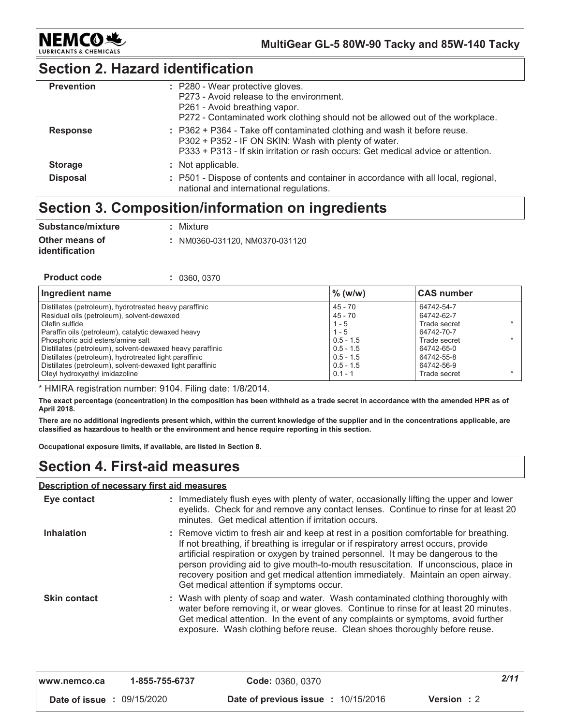

## **Section 2. Hazard identification**

| <b>Prevention</b> | : P280 - Wear protective gloves.<br>P273 - Avoid release to the environment.<br>P261 - Avoid breathing vapor.<br>P272 - Contaminated work clothing should not be allowed out of the workplace.                        |
|-------------------|-----------------------------------------------------------------------------------------------------------------------------------------------------------------------------------------------------------------------|
| <b>Response</b>   | : P362 + P364 - Take off contaminated clothing and wash it before reuse.<br>P302 + P352 - IF ON SKIN: Wash with plenty of water.<br>P333 + P313 - If skin irritation or rash occurs: Get medical advice or attention. |
| <b>Storage</b>    | : Not applicable.                                                                                                                                                                                                     |
| <b>Disposal</b>   | : P501 - Dispose of contents and container in accordance with all local, regional,<br>national and international regulations.                                                                                         |

# Section 3. Composition/information on ingredients

| Substance/mixture                       | : Mixture                      |
|-----------------------------------------|--------------------------------|
| Other means of<br><i>identification</i> | : NM0360-031120. NM0370-031120 |

| <b>Product code</b> |  | : 0360, 0370 |  |
|---------------------|--|--------------|--|
|---------------------|--|--------------|--|

| Ingredient name                                           | $\%$ (w/w)  | <b>CAS number</b> |
|-----------------------------------------------------------|-------------|-------------------|
| Distillates (petroleum), hydrotreated heavy paraffinic    | $45 - 70$   | 64742-54-7        |
| Residual oils (petroleum), solvent-dewaxed                | $45 - 70$   | 64742-62-7        |
| Olefin sulfide                                            | $1 - 5$     | Trade secret      |
| Paraffin oils (petroleum), catalytic dewaxed heavy        | $1 - 5$     | 64742-70-7        |
| Phosphoric acid esters/amine salt                         | $0.5 - 1.5$ | Trade secret      |
| Distillates (petroleum), solvent-dewaxed heavy paraffinic | $0.5 - 1.5$ | 64742-65-0        |
| Distillates (petroleum), hydrotreated light paraffinic    | $0.5 - 1.5$ | 64742-55-8        |
| Distillates (petroleum), solvent-dewaxed light paraffinic | $0.5 - 1.5$ | 64742-56-9        |
| Oleyl hydroxyethyl imidazoline                            | $0.1 - 1$   | Trade secret      |

\* HMIRA registration number: 9104. Filing date: 1/8/2014.

The exact percentage (concentration) in the composition has been withheld as a trade secret in accordance with the amended HPR as of April 2018.

There are no additional ingredients present which, within the current knowledge of the supplier and in the concentrations applicable, are classified as hazardous to health or the environment and hence require reporting in this section.

Occupational exposure limits, if available, are listed in Section 8.

### **Section 4. First-aid measures**

### Description of necessary first aid measures

| Eye contact         | : Immediately flush eyes with plenty of water, occasionally lifting the upper and lower<br>eyelids. Check for and remove any contact lenses. Continue to rinse for at least 20<br>minutes. Get medical attention if irritation occurs.                                                                                                                                                                                                                                                      |
|---------------------|---------------------------------------------------------------------------------------------------------------------------------------------------------------------------------------------------------------------------------------------------------------------------------------------------------------------------------------------------------------------------------------------------------------------------------------------------------------------------------------------|
| <b>Inhalation</b>   | : Remove victim to fresh air and keep at rest in a position comfortable for breathing.<br>If not breathing, if breathing is irregular or if respiratory arrest occurs, provide<br>artificial respiration or oxygen by trained personnel. It may be dangerous to the<br>person providing aid to give mouth-to-mouth resuscitation. If unconscious, place in<br>recovery position and get medical attention immediately. Maintain an open airway.<br>Get medical attention if symptoms occur. |
| <b>Skin contact</b> | : Wash with plenty of soap and water. Wash contaminated clothing thoroughly with<br>water before removing it, or wear gloves. Continue to rinse for at least 20 minutes.<br>Get medical attention. In the event of any complaints or symptoms, avoid further<br>exposure. Wash clothing before reuse. Clean shoes thoroughly before reuse.                                                                                                                                                  |

| www.nemco.ca                      | 1-855-755-6737 | Code: 0360, 0370                                                 | 2/11 |
|-----------------------------------|----------------|------------------------------------------------------------------|------|
| <b>Date of issue : 09/15/2020</b> |                | <b>Date of previous issue : 10/15/2016</b><br><b>Version</b> : 2 |      |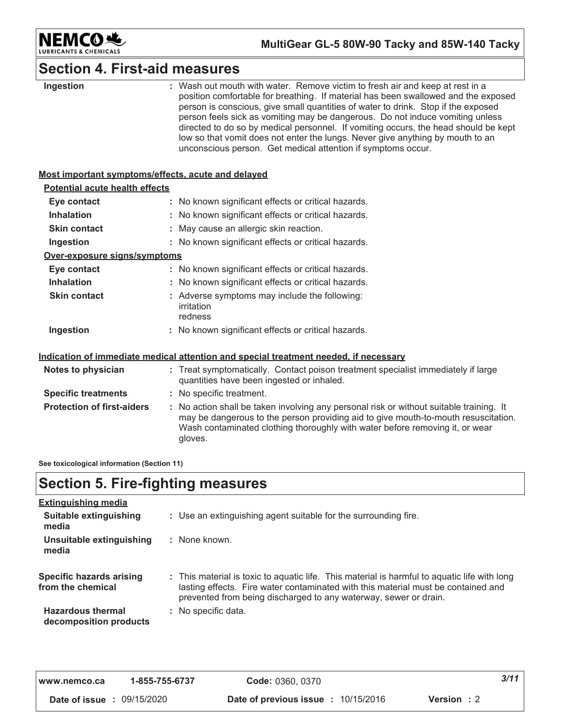

# **Section 4. First-aid measures**

| Ingestion                                          | : Wash out mouth with water. Remove victim to fresh air and keep at rest in a<br>position comfortable for breathing. If material has been swallowed and the exposed<br>person is conscious, give small quantities of water to drink. Stop if the exposed<br>person feels sick as vomiting may be dangerous. Do not induce vomiting unless<br>directed to do so by medical personnel. If vomiting occurs, the head should be kept<br>low so that vomit does not enter the lungs. Never give anything by mouth to an<br>unconscious person. Get medical attention if symptoms occur. |  |
|----------------------------------------------------|------------------------------------------------------------------------------------------------------------------------------------------------------------------------------------------------------------------------------------------------------------------------------------------------------------------------------------------------------------------------------------------------------------------------------------------------------------------------------------------------------------------------------------------------------------------------------------|--|
| Most important symptoms/effects, acute and delayed |                                                                                                                                                                                                                                                                                                                                                                                                                                                                                                                                                                                    |  |
| <b>Potential acute health effects</b>              |                                                                                                                                                                                                                                                                                                                                                                                                                                                                                                                                                                                    |  |
| Eye contact                                        | : No known significant effects or critical hazards.                                                                                                                                                                                                                                                                                                                                                                                                                                                                                                                                |  |
| <b>Inhalation</b>                                  | : No known significant effects or critical hazards.                                                                                                                                                                                                                                                                                                                                                                                                                                                                                                                                |  |
| <b>Skin contact</b>                                | : May cause an allergic skin reaction.                                                                                                                                                                                                                                                                                                                                                                                                                                                                                                                                             |  |
| Ingestion                                          | : No known significant effects or critical hazards.                                                                                                                                                                                                                                                                                                                                                                                                                                                                                                                                |  |
| Over-exposure signs/symptoms                       |                                                                                                                                                                                                                                                                                                                                                                                                                                                                                                                                                                                    |  |
| Eye contact                                        | : No known significant effects or critical hazards.                                                                                                                                                                                                                                                                                                                                                                                                                                                                                                                                |  |
| <b>Inhalation</b>                                  | : No known significant effects or critical hazards.                                                                                                                                                                                                                                                                                                                                                                                                                                                                                                                                |  |
| <b>Skin contact</b>                                | : Adverse symptoms may include the following:<br>irritation<br>redness                                                                                                                                                                                                                                                                                                                                                                                                                                                                                                             |  |
| Ingestion                                          | : No known significant effects or critical hazards.                                                                                                                                                                                                                                                                                                                                                                                                                                                                                                                                |  |
|                                                    | Indication of immediate medical attention and special treatment needed, if necessary                                                                                                                                                                                                                                                                                                                                                                                                                                                                                               |  |
| Notes to physician                                 | : Treat symptomatically. Contact poison treatment specialist immediately if large<br>quantities have been ingested or inhaled.                                                                                                                                                                                                                                                                                                                                                                                                                                                     |  |
| <b>Specific treatments</b>                         | : No specific treatment.                                                                                                                                                                                                                                                                                                                                                                                                                                                                                                                                                           |  |
| <b>Protection of first-aiders</b>                  | : No action shall be taken involving any personal risk or without suitable training. It<br>may be dangerous to the person providing aid to give mouth-to-mouth resuscitation.<br>Wash contaminated clothing thoroughly with water before removing it, or wear<br>gloves.                                                                                                                                                                                                                                                                                                           |  |

See toxicological information (Section 11)

# **Section 5. Fire-fighting measures**

| <b>Extinguishing media</b>                         |                                                                                                                                                                                                                                                       |
|----------------------------------------------------|-------------------------------------------------------------------------------------------------------------------------------------------------------------------------------------------------------------------------------------------------------|
| <b>Suitable extinguishing</b><br>media             | : Use an extinguishing agent suitable for the surrounding fire.                                                                                                                                                                                       |
| Unsuitable extinguishing<br>media                  | : None known.                                                                                                                                                                                                                                         |
| Specific hazards arising<br>from the chemical      | : This material is toxic to aquatic life. This material is harmful to aquatic life with long<br>lasting effects. Fire water contaminated with this material must be contained and<br>prevented from being discharged to any waterway, sewer or drain. |
| <b>Hazardous thermal</b><br>decomposition products | : No specific data.                                                                                                                                                                                                                                   |

| www.nemco.ca                      | 1-855-755-6737 | Code: 0360, 0370                                                 | 3/11 |
|-----------------------------------|----------------|------------------------------------------------------------------|------|
| <b>Date of issue : 09/15/2020</b> |                | <b>Date of previous issue : 10/15/2016</b><br><b>Version</b> : 2 |      |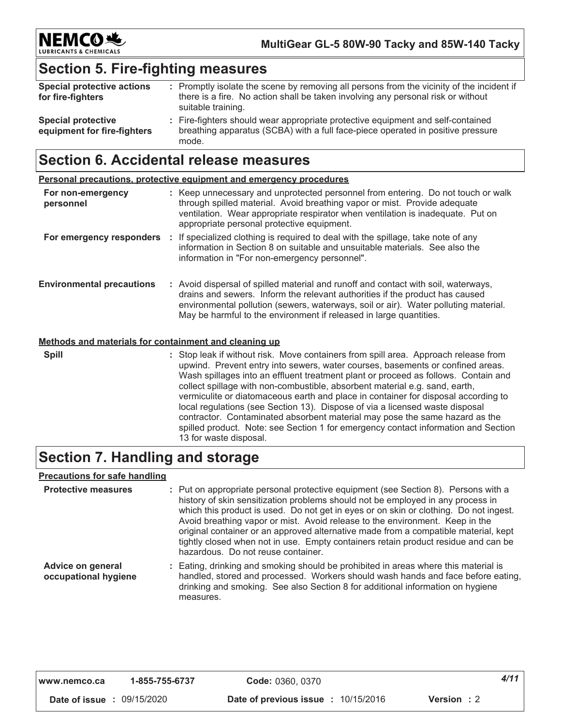

## **Section 5. Fire-fighting measures**

| <b>Special protective actions</b><br>for fire-fighters   | : Promptly isolate the scene by removing all persons from the vicinity of the incident if<br>there is a fire. No action shall be taken involving any personal risk or without<br>suitable training. |
|----------------------------------------------------------|-----------------------------------------------------------------------------------------------------------------------------------------------------------------------------------------------------|
| <b>Special protective</b><br>equipment for fire-fighters | : Fire-fighters should wear appropriate protective equipment and self-contained<br>breathing apparatus (SCBA) with a full face-piece operated in positive pressure<br>mode.                         |

### **Section 6. Accidental release measures**

|                                  | Personal precautions, protective equipment and emergency procedures |                                                                                                                                                                                                                                                                                                                                 |  |  |  |
|----------------------------------|---------------------------------------------------------------------|---------------------------------------------------------------------------------------------------------------------------------------------------------------------------------------------------------------------------------------------------------------------------------------------------------------------------------|--|--|--|
| For non-emergency<br>personnel   |                                                                     | : Keep unnecessary and unprotected personnel from entering. Do not touch or walk<br>through spilled material. Avoid breathing vapor or mist. Provide adequate<br>ventilation. Wear appropriate respirator when ventilation is inadequate. Put on<br>appropriate personal protective equipment.                                  |  |  |  |
| For emergency responders         |                                                                     | If specialized clothing is required to deal with the spillage, take note of any<br>information in Section 8 on suitable and unsuitable materials. See also the<br>information in "For non-emergency personnel".                                                                                                                 |  |  |  |
| <b>Environmental precautions</b> |                                                                     | : Avoid dispersal of spilled material and runoff and contact with soil, waterways,<br>drains and sewers. Inform the relevant authorities if the product has caused<br>environmental pollution (sewers, waterways, soil or air). Water polluting material.<br>May be harmful to the environment if released in large quantities. |  |  |  |

### Methods and materials for containment and cleaning up

**Spill** 

: Stop leak if without risk. Move containers from spill area. Approach release from upwind. Prevent entry into sewers, water courses, basements or confined areas. Wash spillages into an effluent treatment plant or proceed as follows. Contain and collect spillage with non-combustible, absorbent material e.g. sand, earth, vermiculite or diatomaceous earth and place in container for disposal according to local regulations (see Section 13). Dispose of via a licensed waste disposal contractor. Contaminated absorbent material may pose the same hazard as the spilled product. Note: see Section 1 for emergency contact information and Section 13 for waste disposal.

# **Section 7. Handling and storage**

### **Precautions for safe handling**

| <b>Protective measures</b>                | : Put on appropriate personal protective equipment (see Section 8). Persons with a<br>history of skin sensitization problems should not be employed in any process in<br>which this product is used. Do not get in eyes or on skin or clothing. Do not ingest.<br>Avoid breathing vapor or mist. Avoid release to the environment. Keep in the<br>original container or an approved alternative made from a compatible material, kept<br>tightly closed when not in use. Empty containers retain product residue and can be<br>hazardous. Do not reuse container. |
|-------------------------------------------|-------------------------------------------------------------------------------------------------------------------------------------------------------------------------------------------------------------------------------------------------------------------------------------------------------------------------------------------------------------------------------------------------------------------------------------------------------------------------------------------------------------------------------------------------------------------|
| Advice on general<br>occupational hygiene | : Eating, drinking and smoking should be prohibited in areas where this material is<br>handled, stored and processed. Workers should wash hands and face before eating.<br>drinking and smoking. See also Section 8 for additional information on hygiene<br>measures                                                                                                                                                                                                                                                                                             |

| www.nemco.ca                      | 1-855-755-6737 | Code: 0360, 0370                                                 | 4/11 |
|-----------------------------------|----------------|------------------------------------------------------------------|------|
| <b>Date of issue : 09/15/2020</b> |                | <b>Date of previous issue : 10/15/2016</b><br><b>Version</b> : 2 |      |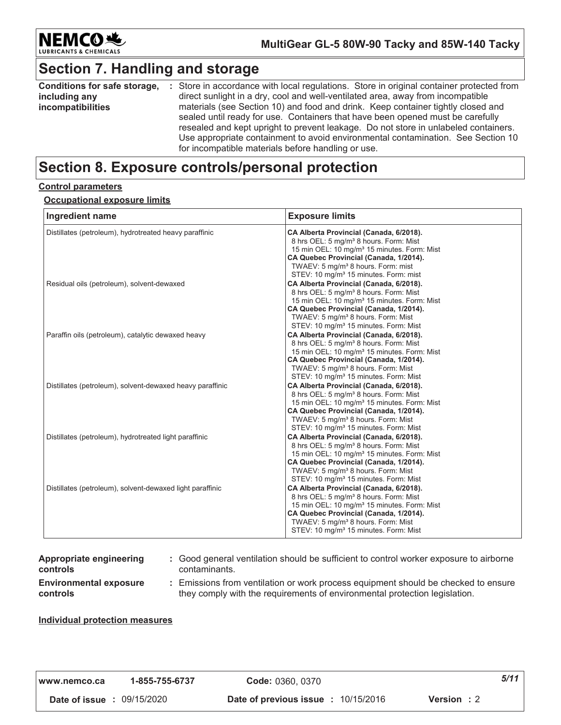

# **Section 7. Handling and storage**

| Conditions for safe storage, | : Store in accordance with local regulations. Store in original container protected from |  |  |  |
|------------------------------|------------------------------------------------------------------------------------------|--|--|--|
| including any                | direct sunlight in a dry, cool and well-ventilated area, away from incompatible          |  |  |  |
| <i>incompatibilities</i>     | materials (see Section 10) and food and drink. Keep container tightly closed and         |  |  |  |
|                              | sealed until ready for use. Containers that have been opened must be carefully           |  |  |  |
|                              | resealed and kept upright to prevent leakage. Do not store in unlabeled containers.      |  |  |  |
|                              | Use appropriate containment to avoid environmental contamination. See Section 10         |  |  |  |
|                              | for incompatible materials before handling or use.                                       |  |  |  |

# **Section 8. Exposure controls/personal protection**

#### **<u>Control parameters</u>**

### <u>**<u>Occupational exposure limits</u>**</u>

| Ingredient name                                           | <b>Exposure limits</b>                                                                                                                                                                                                                                                                                    |
|-----------------------------------------------------------|-----------------------------------------------------------------------------------------------------------------------------------------------------------------------------------------------------------------------------------------------------------------------------------------------------------|
| Distillates (petroleum), hydrotreated heavy paraffinic    | CA Alberta Provincial (Canada, 6/2018).<br>8 hrs OEL: 5 mg/m <sup>3</sup> 8 hours. Form: Mist<br>15 min OEL: 10 mg/m <sup>3</sup> 15 minutes. Form: Mist<br>CA Quebec Provincial (Canada, 1/2014).<br>TWAEV: 5 mg/m <sup>3</sup> 8 hours. Form: mist<br>STEV: 10 mg/m <sup>3</sup> 15 minutes. Form: mist |
| Residual oils (petroleum), solvent-dewaxed                | CA Alberta Provincial (Canada, 6/2018).<br>8 hrs OEL: 5 mg/m <sup>3</sup> 8 hours. Form: Mist<br>15 min OEL: 10 mg/m <sup>3</sup> 15 minutes. Form: Mist<br>CA Quebec Provincial (Canada, 1/2014).<br>TWAEV: 5 mg/m <sup>3</sup> 8 hours. Form: Mist<br>STEV: 10 mg/m <sup>3</sup> 15 minutes. Form: Mist |
| Paraffin oils (petroleum), catalytic dewaxed heavy        | CA Alberta Provincial (Canada, 6/2018).<br>8 hrs OEL: 5 mg/m <sup>3</sup> 8 hours. Form: Mist<br>15 min OEL: 10 mg/m <sup>3</sup> 15 minutes. Form: Mist<br>CA Quebec Provincial (Canada, 1/2014).<br>TWAEV: 5 mg/m <sup>3</sup> 8 hours. Form: Mist<br>STEV: 10 mg/m <sup>3</sup> 15 minutes. Form: Mist |
| Distillates (petroleum), solvent-dewaxed heavy paraffinic | CA Alberta Provincial (Canada, 6/2018).<br>8 hrs OEL: 5 mg/m <sup>3</sup> 8 hours. Form: Mist<br>15 min OEL: 10 mg/m <sup>3</sup> 15 minutes. Form: Mist<br>CA Quebec Provincial (Canada, 1/2014).<br>TWAEV: 5 mg/m <sup>3</sup> 8 hours. Form: Mist<br>STEV: 10 mg/m <sup>3</sup> 15 minutes. Form: Mist |
| Distillates (petroleum), hydrotreated light paraffinic    | CA Alberta Provincial (Canada, 6/2018).<br>8 hrs OEL: 5 mg/m <sup>3</sup> 8 hours. Form: Mist<br>15 min OEL: 10 mg/m <sup>3</sup> 15 minutes. Form: Mist<br>CA Quebec Provincial (Canada, 1/2014).<br>TWAEV: 5 mg/m <sup>3</sup> 8 hours. Form: Mist<br>STEV: 10 mg/m <sup>3</sup> 15 minutes. Form: Mist |
| Distillates (petroleum), solvent-dewaxed light paraffinic | CA Alberta Provincial (Canada, 6/2018).<br>8 hrs OEL: 5 mg/m <sup>3</sup> 8 hours. Form: Mist<br>15 min OEL: 10 mg/m <sup>3</sup> 15 minutes. Form: Mist<br>CA Quebec Provincial (Canada, 1/2014).<br>TWAEV: 5 mg/m <sup>3</sup> 8 hours. Form: Mist<br>STEV: 10 mg/m <sup>3</sup> 15 minutes. Form: Mist |

Environmental exposure **Appropriate engineering** <u>controls</u>

 $\colon$  Good general ventilation should be sufficient to control worker exposure to airborne contaminants.

# <u>controls</u>

 $\colon$  Emissions from ventilation or work process equipment should be checked to ensure they comply with the requirements of environmental protection legislation.

### **ndividual protection measures**

| www.nemco.ca                      | 1-855-755-6737 | Code: 0360, 0370                           |                    | 5/11 |
|-----------------------------------|----------------|--------------------------------------------|--------------------|------|
| <b>Date of issue : 09/15/2020</b> |                | <b>Date of previous issue : 10/15/2016</b> | <b>Version</b> : 2 |      |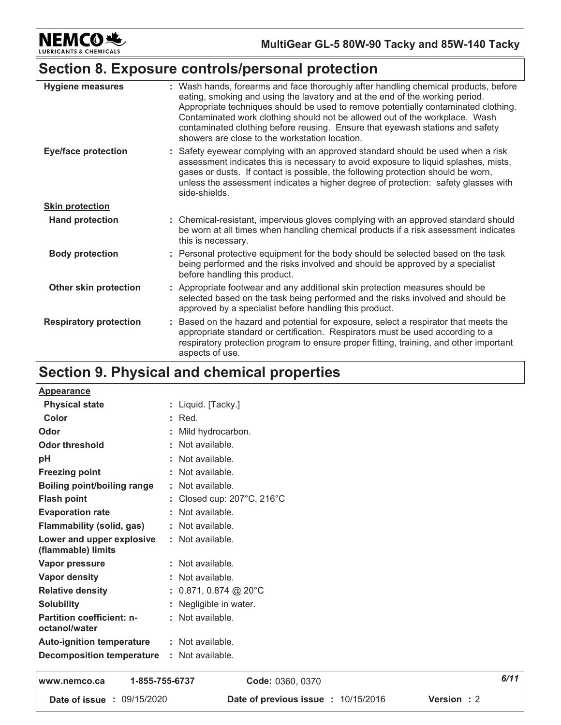

# Section 8. Exposure controls/personal protection

| <b>Hygiene measures</b>       | : Wash hands, forearms and face thoroughly after handling chemical products, before<br>eating, smoking and using the lavatory and at the end of the working period.<br>Appropriate techniques should be used to remove potentially contaminated clothing.<br>Contaminated work clothing should not be allowed out of the workplace. Wash<br>contaminated clothing before reusing. Ensure that eyewash stations and safety<br>showers are close to the workstation location. |
|-------------------------------|-----------------------------------------------------------------------------------------------------------------------------------------------------------------------------------------------------------------------------------------------------------------------------------------------------------------------------------------------------------------------------------------------------------------------------------------------------------------------------|
| <b>Eye/face protection</b>    | : Safety eyewear complying with an approved standard should be used when a risk<br>assessment indicates this is necessary to avoid exposure to liquid splashes, mists,<br>gases or dusts. If contact is possible, the following protection should be worn,<br>unless the assessment indicates a higher degree of protection: safety glasses with<br>side-shields.                                                                                                           |
| <b>Skin protection</b>        |                                                                                                                                                                                                                                                                                                                                                                                                                                                                             |
| <b>Hand protection</b>        | : Chemical-resistant, impervious gloves complying with an approved standard should<br>be worn at all times when handling chemical products if a risk assessment indicates<br>this is necessary.                                                                                                                                                                                                                                                                             |
| <b>Body protection</b>        | : Personal protective equipment for the body should be selected based on the task<br>being performed and the risks involved and should be approved by a specialist<br>before handling this product.                                                                                                                                                                                                                                                                         |
| Other skin protection         | : Appropriate footwear and any additional skin protection measures should be<br>selected based on the task being performed and the risks involved and should be<br>approved by a specialist before handling this product.                                                                                                                                                                                                                                                   |
| <b>Respiratory protection</b> | Based on the hazard and potential for exposure, select a respirator that meets the<br>appropriate standard or certification. Respirators must be used according to a<br>respiratory protection program to ensure proper fitting, training, and other important<br>aspects of use.                                                                                                                                                                                           |

# Section 9. Physical and chemical properties

| 1-855-755-6737<br>WWW namco ca                    | $CQQqq$ , $U3gQ$ , $U3gQ$                      | 6/11 |
|---------------------------------------------------|------------------------------------------------|------|
| <b>Decomposition temperature : Not available.</b> |                                                |      |
| <b>Auto-ignition temperature</b>                  | : Not available.                               |      |
| <b>Partition coefficient: n-</b><br>octanol/water | : Not available.                               |      |
| <b>Solubility</b>                                 | : Negligible in water.                         |      |
| <b>Relative density</b>                           | : $0.871, 0.874$ @ 20°C                        |      |
| Vapor density                                     | : Not available.                               |      |
| Vapor pressure                                    | : Not available.                               |      |
| Lower and upper explosive<br>(flammable) limits   | : Not available.                               |      |
| <b>Flammability (solid, gas)</b>                  | : Not available.                               |      |
| <b>Evaporation rate</b>                           | : Not available.                               |      |
| <b>Flash point</b>                                | : Closed cup: $207^{\circ}$ C, $216^{\circ}$ C |      |
| <b>Boiling point/boiling range</b>                | : Not available.                               |      |
| <b>Freezing point</b>                             | : Not available.                               |      |
| pH                                                | : Not available.                               |      |
| <b>Odor threshold</b>                             | : Not available.                               |      |
| Odor                                              | Mild hydrocarbon.                              |      |
| Color                                             | $:$ Red.                                       |      |
| <b>Physical state</b>                             | : Liquid. [Tacky.]                             |      |
| <b>Appearance</b>                                 |                                                |      |

www.nemco.ca 1-855-755-6737 Date of issue : 09/15/2020

Code: 0360, 0370

Date of previous issue : 10/15/2016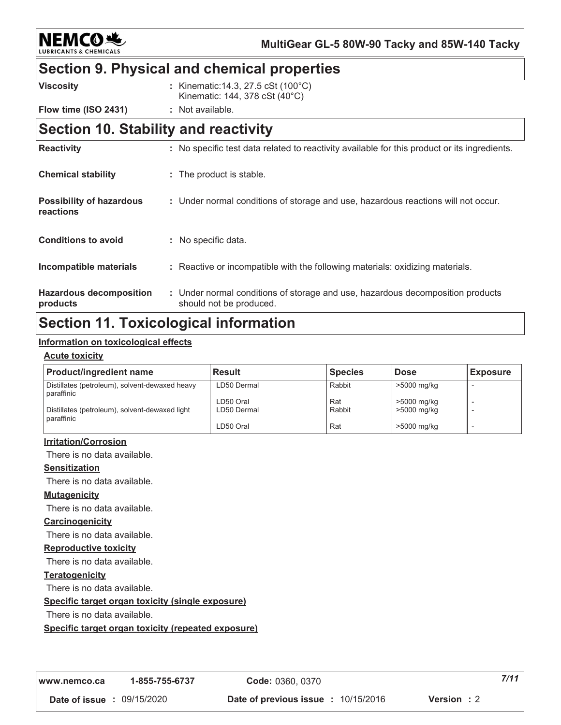**NEMCO头** 

**MultiGear GL-5 80W-90 Tacky and 85W-140 Tacky**

## **Section 9. Physical and chemical properties**

| Viscosity            | : Kinematic: 14.3, 27.5 cSt (100°C)          |
|----------------------|----------------------------------------------|
|                      | Kinematic: $144$ , $378$ cSt $(40^{\circ}C)$ |
| Flow time (ISO 2431) | : Not available.                             |

### Section 10. Stability and reactivity

| <b>Reactivity</b>                            | : No specific test data related to reactivity available for this product or its ingredients.              |
|----------------------------------------------|-----------------------------------------------------------------------------------------------------------|
| <b>Chemical stability</b>                    | : The product is stable.                                                                                  |
| <b>Possibility of hazardous</b><br>reactions | : Under normal conditions of storage and use, hazardous reactions will not occur.                         |
| <b>Conditions to avoid</b>                   | : No specific data.                                                                                       |
| Incompatible materials                       | : Reactive or incompatible with the following materials: oxidizing materials.                             |
| <b>Hazardous decomposition</b><br>products   | : Under normal conditions of storage and use, hazardous decomposition products<br>should not be produced. |

## **Section 11. Toxicological information**

### <u>Information on toxicological effects</u>

### <u>Acute toxicity</u>

| <b>Product/ingredient name</b>                               | <b>Result</b>            | <b>Species</b> | <b>Dose</b>                | <b>Exposure</b> |
|--------------------------------------------------------------|--------------------------|----------------|----------------------------|-----------------|
| Distillates (petroleum), solvent-dewaxed heavy<br>paraffinic | LD50 Dermal              | Rabbit         | >5000 mg/kg                |                 |
| Distillates (petroleum), solvent-dewaxed light<br>paraffinic | LD50 Oral<br>LD50 Dermal | Rat<br>Rabbit  | >5000 mg/kg<br>>5000 mg/kg |                 |
|                                                              | LD50 Oral                | Rat            | >5000 mg/kg                |                 |

### <u>**Irritation/Corrosion</u>**</u>

There is no data available.

### <u>Sensitization</u>

There is no data available.

### <u>**Mutagenicity</u>**</u>

There is no data available.

### <u>Carcinogenicity</u>

There is no data available.

### <u>**Reproductive toxicity</u>**</u>

There is no data available.

### <u>Teratogenicity</u>

There is no data available.

### <u>**<u>Specific target organ toxicity (single exposure)</u>**</u>

There is no data available.

### <u>**<u>Specific target organ toxicity (repeated exposure)</u>**</u>

*-*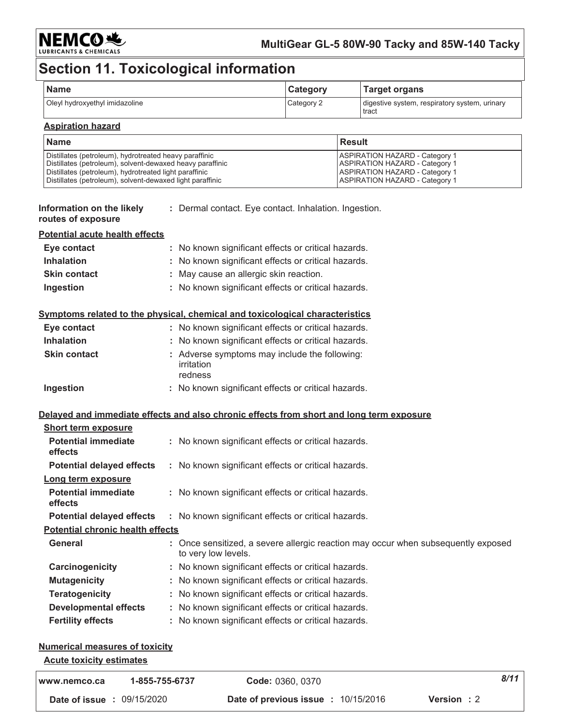

# Section 11. Toxicological information

| <b>Name</b>                    | Category   | <b>Target organs</b>                                   |
|--------------------------------|------------|--------------------------------------------------------|
| Oleyl hydroxyethyl imidazoline | Category 2 | digestive system, respiratory system, urinary<br>tract |

### **Aspiration hazard**

| <b>Name</b>                                               | <b>Result</b>                         |
|-----------------------------------------------------------|---------------------------------------|
| Distillates (petroleum), hydrotreated heavy paraffinic    | <b>ASPIRATION HAZARD - Category 1</b> |
| Distillates (petroleum), solvent-dewaxed heavy paraffinic | <b>ASPIRATION HAZARD - Category 1</b> |
| Distillates (petroleum), hydrotreated light paraffinic    | <b>ASPIRATION HAZARD - Category 1</b> |
| Distillates (petroleum), solvent-dewaxed light paraffinic | <b>ASPIRATION HAZARD - Category 1</b> |

| Information on the likely | : Dermal contact. Eye contact. Inhalation. Ingestion. |  |
|---------------------------|-------------------------------------------------------|--|
| routes of exposure        |                                                       |  |

#### **Potential acute health effects**

| Eye contact         | : No known significant effects or critical hazards. |
|---------------------|-----------------------------------------------------|
| <b>Inhalation</b>   | : No known significant effects or critical hazards. |
| <b>Skin contact</b> | : May cause an allergic skin reaction.              |
| Ingestion           | : No known significant effects or critical hazards. |

### Symptoms related to the physical, chemical and toxicological characteristics

| Eye contact         | : No known significant effects or critical hazards.                    |
|---------------------|------------------------------------------------------------------------|
| <b>Inhalation</b>   | : No known significant effects or critical hazards.                    |
| <b>Skin contact</b> | : Adverse symptoms may include the following:<br>irritation<br>redness |
| Ingestion           | : No known significant effects or critical hazards.                    |

### Delayed and immediate effects and also chronic effects from short and long term exposure

| <b>Short term exposure</b>              |                                                                                                          |
|-----------------------------------------|----------------------------------------------------------------------------------------------------------|
| <b>Potential immediate</b><br>effects   | : No known significant effects or critical hazards.                                                      |
| <b>Potential delayed effects</b>        | : No known significant effects or critical hazards.                                                      |
| Long term exposure                      |                                                                                                          |
| <b>Potential immediate</b><br>effects   | : No known significant effects or critical hazards.                                                      |
| <b>Potential delayed effects</b>        | : No known significant effects or critical hazards.                                                      |
| <b>Potential chronic health effects</b> |                                                                                                          |
| General                                 | : Once sensitized, a severe allergic reaction may occur when subsequently exposed<br>to very low levels. |
| Carcinogenicity                         | : No known significant effects or critical hazards.                                                      |
| <b>Mutagenicity</b>                     | : No known significant effects or critical hazards.                                                      |
| <b>Teratogenicity</b>                   | : No known significant effects or critical hazards.                                                      |
| <b>Developmental effects</b>            | : No known significant effects or critical hazards.                                                      |
| <b>Fertility effects</b>                | : No known significant effects or critical hazards.                                                      |

### **Numerical measures of toxicity**

### **Acute toxicity estimates**

| www.nemco.ca                      | 1-855-755-6737 | <b>Code: 0360, 0370</b>                                  | 8/11 |
|-----------------------------------|----------------|----------------------------------------------------------|------|
| <b>Date of issue : 09/15/2020</b> |                | Version: 2<br><b>Date of previous issue : 10/15/2016</b> |      |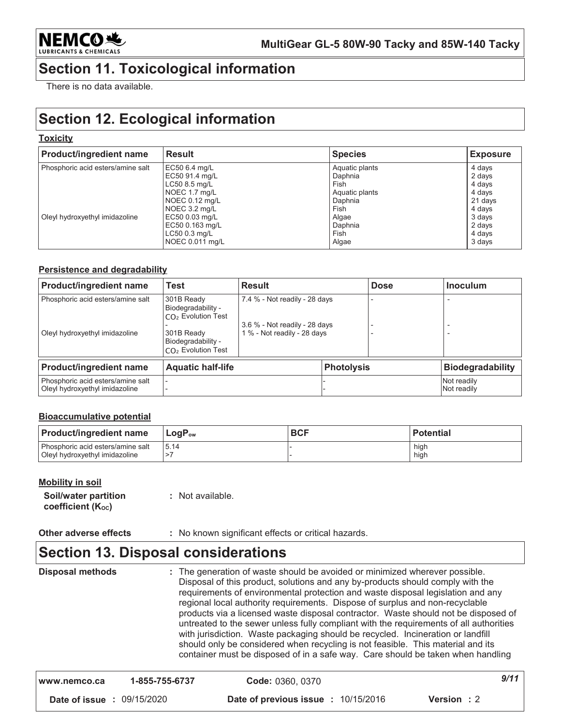

# **Section 11. Toxicological information**

There is no data available.

# **Section 12. Ecological information**

### **Toxicity**

| <b>Product/ingredient name</b>                                      | <b>Result</b>                                                                                                                                                                   | <b>Species</b>                                                                                              | <b>Exposure</b>                                                                                   |
|---------------------------------------------------------------------|---------------------------------------------------------------------------------------------------------------------------------------------------------------------------------|-------------------------------------------------------------------------------------------------------------|---------------------------------------------------------------------------------------------------|
| Phosphoric acid esters/amine salt<br>Oleyl hydroxyethyl imidazoline | EC50 6.4 mg/L<br>EC50 91.4 mg/L<br>LC50 8.5 mg/L<br>NOEC 1.7 mg/L<br>$NOEC 0.12$ mg/L<br>NOEC 3.2 mg/L<br>EC50 0.03 mg/L<br>EC50 0.163 mg/L<br>LC50 0.3 mg/L<br>NOEC 0.011 mg/L | Aquatic plants<br>Daphnia<br>Fish<br>Aquatic plants<br>Daphnia<br>Fish<br>Algae<br>Daphnia<br>Fish<br>Algae | 4 days<br>2 days<br>4 days<br>4 days<br>21 days<br>4 days<br>3 days<br>2 days<br>4 days<br>3 days |

### Persistence and degradability

| <b>Product/ingredient name</b>                                      | <b>Test</b>                                                                                                          | <b>Result</b>                                                                                 |                   | <b>Dose</b> | <b>Inoculum</b>            |
|---------------------------------------------------------------------|----------------------------------------------------------------------------------------------------------------------|-----------------------------------------------------------------------------------------------|-------------------|-------------|----------------------------|
| Phosphoric acid esters/amine salt<br>Oleyl hydroxyethyl imidazoline | 301B Ready<br>Biodegradability -<br>$CO2$ Evolution Test<br>301B Ready<br>Biodegradability -<br>$CO2$ Evolution Test | 7.4 % - Not readily - 28 days<br>3.6 % - Not readily - 28 days<br>1 % - Not readily - 28 days |                   |             |                            |
| <b>Product/ingredient name</b>                                      | <b>Aquatic half-life</b>                                                                                             |                                                                                               | <b>Photolysis</b> |             | <b>Biodegradability</b>    |
| Phosphoric acid esters/amine salt<br>Oleyl hydroxyethyl imidazoline |                                                                                                                      |                                                                                               |                   |             | Not readily<br>Not readily |

### **Bioaccumulative potential**

| <b>Product/ingredient name</b>                                      | $LogP_{ow}$ | <b>BCF</b> | <b>Potential</b> |
|---------------------------------------------------------------------|-------------|------------|------------------|
| Phosphoric acid esters/amine salt<br>Oleyl hydroxyethyl imidazoline | 15.14       |            | high<br>high     |

### **Mobility in soil**

| Soil/water partition | : Not available. |
|----------------------|------------------|
| coefficient (Koc)    |                  |

Other adverse effects : No known significant effects or critical hazards.

### **Section 13. Disposal considerations**

**Disposal methods** : The generation of waste should be avoided or minimized wherever possible. Disposal of this product, solutions and any by-products should comply with the requirements of environmental protection and waste disposal legislation and any regional local authority requirements. Dispose of surplus and non-recyclable products via a licensed waste disposal contractor. Waste should not be disposed of untreated to the sewer unless fully compliant with the requirements of all authorities with jurisdiction. Waste packaging should be recycled. Incineration or landfill should only be considered when recycling is not feasible. This material and its container must be disposed of in a safe way. Care should be taken when handling

| l www.nemco.ca                    | 1-855-755-6737 | <b>Code: 0360, 0370</b>                    | 9/11               |
|-----------------------------------|----------------|--------------------------------------------|--------------------|
| <b>Date of issue : 09/15/2020</b> |                | <b>Date of previous issue : 10/15/2016</b> | <b>Version</b> : 2 |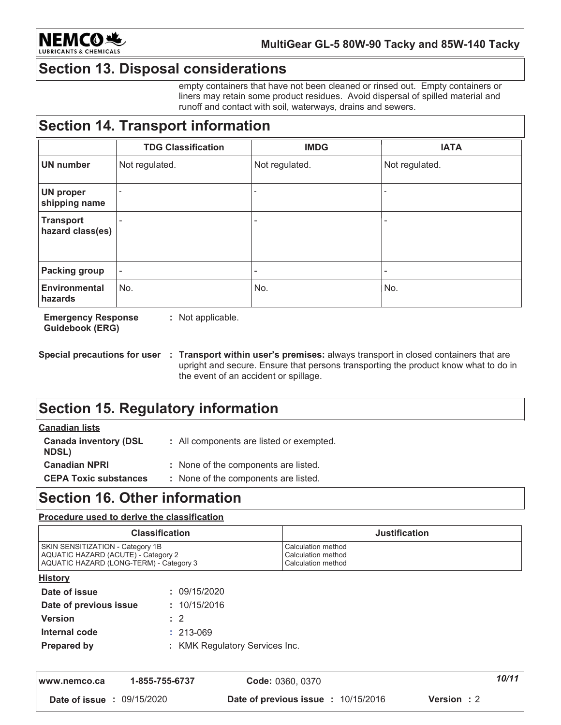

# **Section 13. Disposal considerations**

empty containers that have not been cleaned or rinsed out. Empty containers or liners may retain some product residues. Avoid dispersal of spilled material and runoff and contact with soil, waterways, drains and sewers.

# **Section 14. Transport information**

|                                      | <b>TDG Classification</b> | <b>IMDG</b>    | <b>IATA</b>              |
|--------------------------------------|---------------------------|----------------|--------------------------|
| <b>UN</b> number                     | Not regulated.            | Not regulated. | Not regulated.           |
| <b>UN proper</b><br>shipping name    |                           |                |                          |
| <b>Transport</b><br>hazard class(es) |                           | ۰              | $\overline{\phantom{0}}$ |
| <b>Packing group</b>                 | ٠                         | ٠              |                          |
| <b>Environmental</b><br>hazards      | No.                       | No.            | No.                      |

**Emergency Response** : Not applicable. **Guidebook (ERG)** 

# **Section 15. Regulatory information**

### **Canadian lists**

| <b>Canada inventory (DSL</b><br><b>NDSL)</b> | : All components are listed or exempted. |
|----------------------------------------------|------------------------------------------|
| <b>Canadian NPRI</b>                         | : None of the components are listed.     |
| <b>CEPA Toxic substances</b>                 | : None of the components are listed.     |

### **Section 16. Other information**

### Procedure used to derive the classification

| <b>Classification</b>                                                                                              | <b>Justification</b>                                           |
|--------------------------------------------------------------------------------------------------------------------|----------------------------------------------------------------|
| SKIN SENSITIZATION - Category 1B<br>AQUATIC HAZARD (ACUTE) - Category 2<br>AQUATIC HAZARD (LONG-TERM) - Category 3 | Calculation method<br>Calculation method<br>Calculation method |
| <b>History</b>                                                                                                     |                                                                |
| 09/15/2020<br>Date of issue                                                                                        |                                                                |

| Date of issue          | : 09/15/2020                   |
|------------------------|--------------------------------|
| Date of previous issue | : 10/15/2016                   |
| <b>Version</b>         | $\cdot$ 2                      |
| Internal code          | $: 213 - 069$                  |
| <b>Prepared by</b>     | : KMK Regulatory Services Inc. |
|                        |                                |

| www.nemco.ca                      | 1-855-755-6737 | Code: 0360, 0370                           | 10/11      |
|-----------------------------------|----------------|--------------------------------------------|------------|
| <b>Date of issue : 09/15/2020</b> |                | <b>Date of previous issue : 10/15/2016</b> | Version: 2 |

Special precautions for user : Transport within user's premises: always transport in closed containers that are upright and secure. Ensure that persons transporting the product know what to do in the event of an accident or spillage.